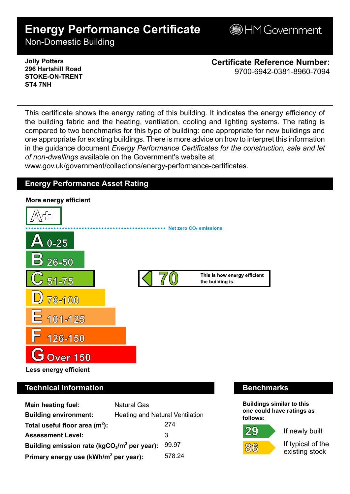# **Energy Performance Certificate**

**BHM Government** 

Non-Domestic Building

### **Jolly Potters 296 Hartshill Road STOKE-ON-TRENT ST4 7NH**

**Certificate Reference Number:** 9700-6942-0381-8960-7094

This certificate shows the energy rating of this building. It indicates the energy efficiency of the building fabric and the heating, ventilation, cooling and lighting systems. The rating is compared to two benchmarks for this type of building: one appropriate for new buildings and one appropriate for existing buildings. There is more advice on how to interpret this information in the guidance document *Energy Performance Certificates for the construction, sale and let of non-dwellings* available on the Government's website at

www.gov.uk/government/collections/energy-performance-certificates.

# **Energy Performance Asset Rating**



# **Technical Information Benchmarks**

| <b>Main heating fuel:</b>                         | <b>Natural Gas</b>                     |        |
|---------------------------------------------------|----------------------------------------|--------|
| <b>Building environment:</b>                      | <b>Heating and Natural Ventilation</b> |        |
| Total useful floor area $(m2)$ :                  |                                        | 274    |
| <b>Assessment Level:</b>                          |                                        | 3      |
| Building emission rate ( $kgCO2/m2$ per year):    |                                        | 99.97  |
| Primary energy use (kWh/m <sup>2</sup> per year): |                                        | 578.24 |

**Buildings similar to this one could have ratings as follows:**





If newly built

If typical of the existing stock